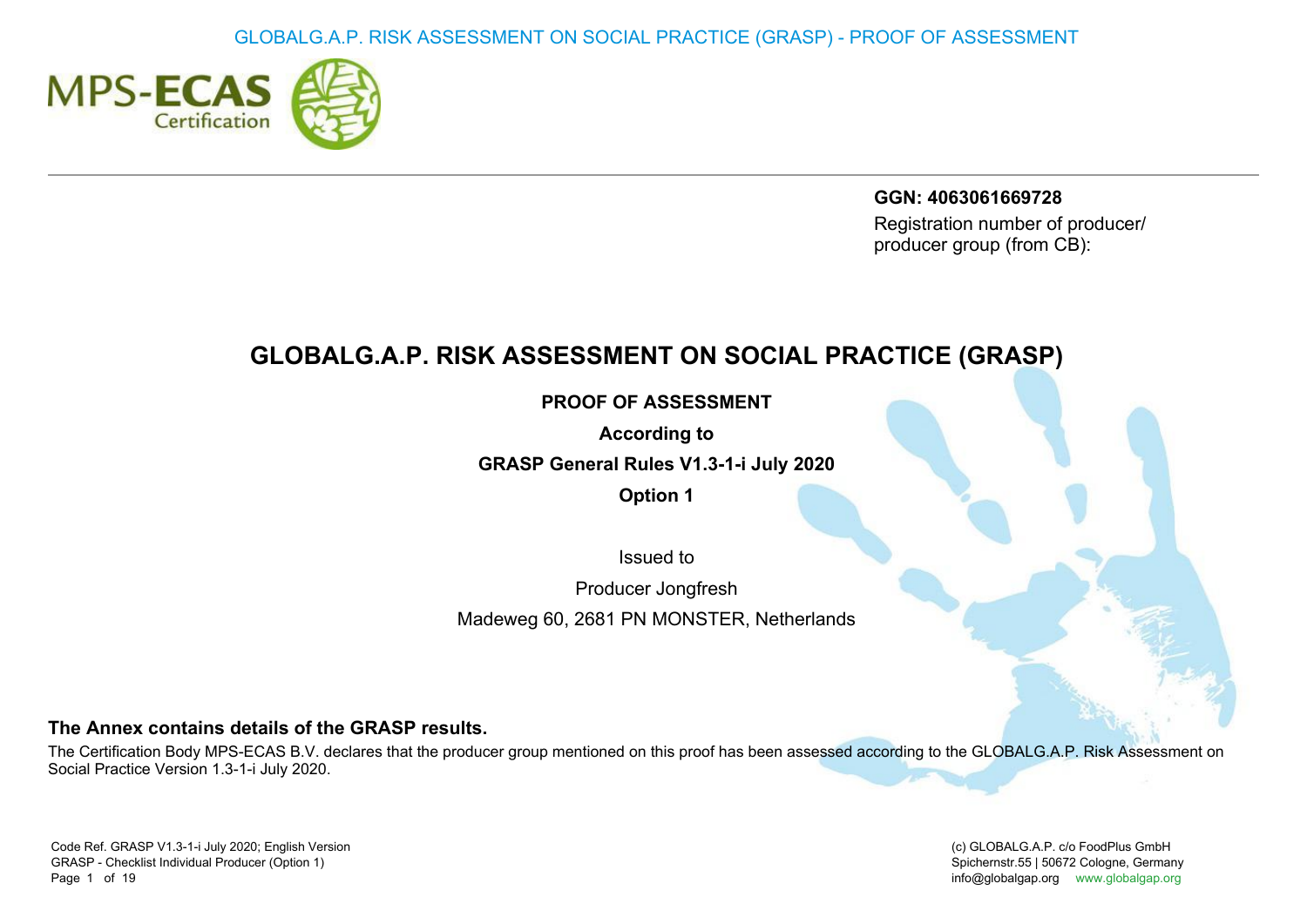

GGN: 4063061669728 Registration number of producer/ producer group (from CB):

# GLOBALG.A.P. RISK ASSESSMENT ON SOCIAL PRACTICE (GRASP)

PROOF OF ASSESSMENT

According to

GRASP General Rules V1.3-1-i July 2020

Option 1

Issued to

Producer Jongfresh

Madeweg 60, 2681 PN MONSTER, Netherlands

## The Annex contains details of the GRASP results.

The Certification Body MPS-ECAS B.V. declares that the producer group mentioned on this proof has been assessed according to the GLOBALG.A.P. Risk Assessment on Social Practice Version 1.3-1-i July 2020.